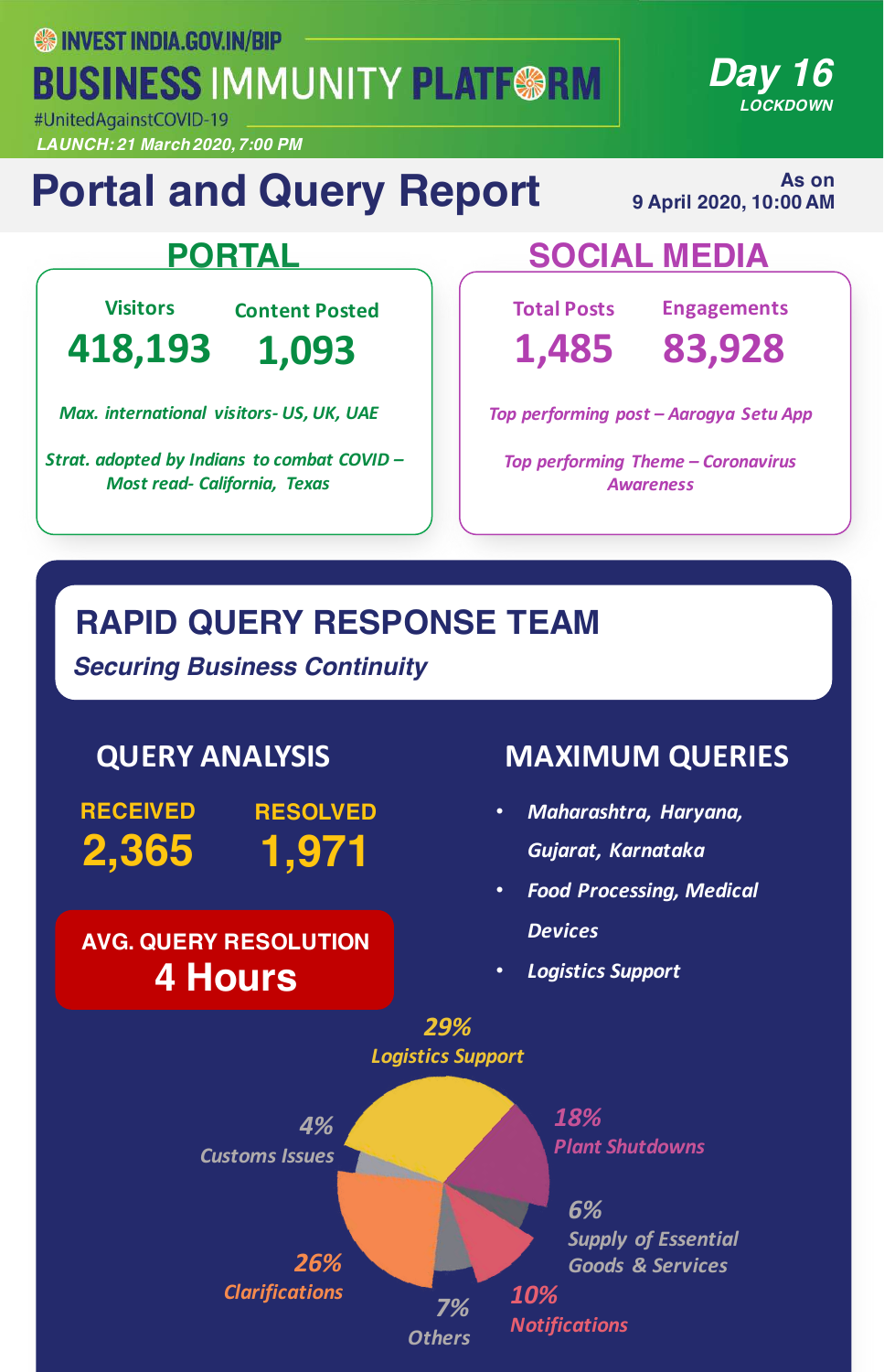**SS INVEST INDIA.GOV.IN/BIP BUSINESS IMMUNITY PLATF@RM** 

#UnitedAgainstCOVID-19 *LAUNCH: 21 March 2020, 7:00 PM*

# **Portal and Query Report**

**As on 9 April 2020, 10:00 AM** 

*Day 16*

*LOCKDOWN*

**Visitors**

**418,193**

**Content Posted 1,093**

*Max. international visitors- US, UK, UAE*

Strat. adopted by Indians to combat COVID -*Most read- California, Texas*

### **PORTAL SOCIAL MEDIA**

**Total Posts 1,485** **Engagements**

**83,928**

*Top performing post – Aarogya Setu App*

**Top performing Theme – Coronavirus** *Awareness*

### **RAPID QUERY RESPONSE TEAM**

*Securing Business Continuity*

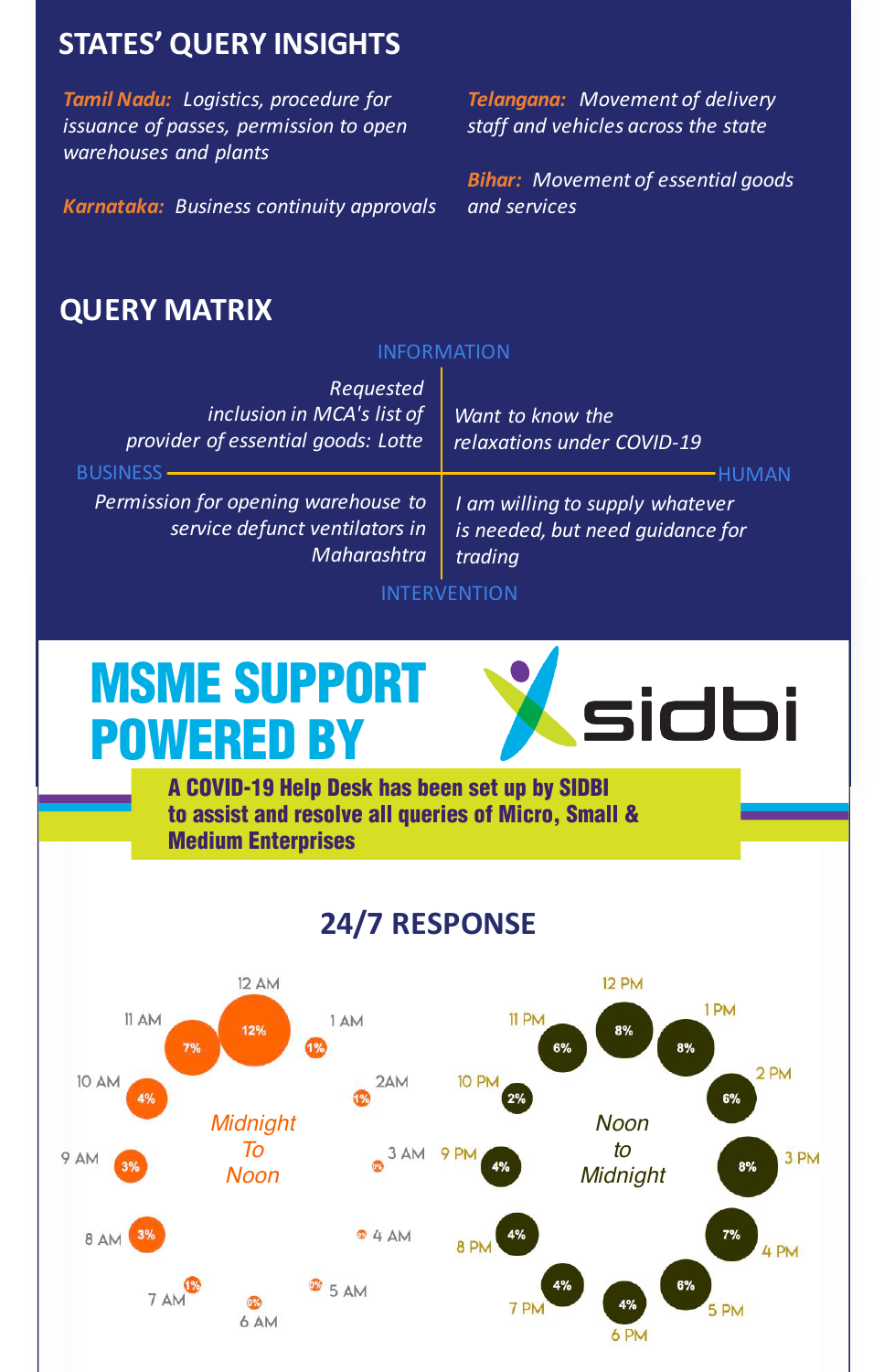#### **STATES' QUERY INSIGHTS**

**Tamil Nadu:** Logistics, procedure for *issuance of passes, permission to open warehouses and plants*

*Karnataka: Business continuity approvals*

**Telangana: Movement of delivery** *staff and vehicles across the state*

**Bihar:** Movement of essential goods *and services*

#### **QUERY MATRIX**

#### INFORMATION

| Requested<br>inclusion in MCA's list of<br>provider of essential goods: Lotte                                  | Want to know the<br>relaxations under COVID-19                                 |
|----------------------------------------------------------------------------------------------------------------|--------------------------------------------------------------------------------|
| <b>BUSINESS</b><br>Permission for opening warehouse to<br>service defunct ventilators in<br><b>Maharashtra</b> | I am willing to supply whatever<br>is needed, but need quidance for<br>trading |

INTERVENTION

# MSME SUPPORT POWERED BY



A COVID-19 Help Desk has been set up by SIDBI to assist and resolve all queries of Micro, Small & Medium Enterprises

#### **24/7 RESPONSE**

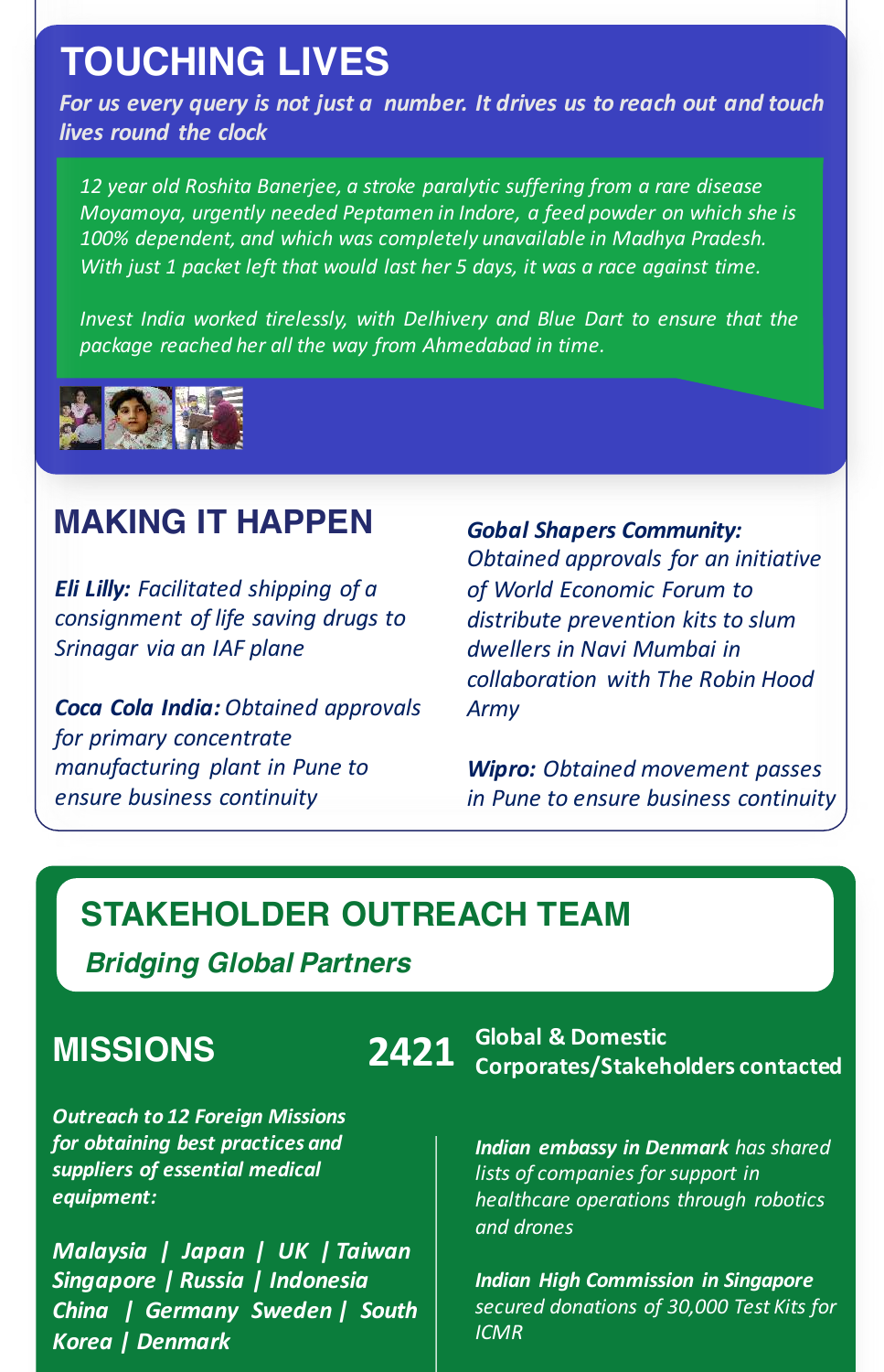### **TOUCHING LIVES**

For us every query is not just a number. It drives us to reach out and touch *lives round the clock*

*12 year old Roshita Banerjee, a stroke paralytic suffering from a rare disease Moyamoya, urgently needed Peptamen in Indore, a feed powder on which she is* 100% dependent, and which was completely unavailable in Madhya Pradesh. *With* just 1 packet left that would last her 5 days, it was a race against time.

*Invest India worked tirelessly, with Delhivery and Blue Dart to ensure that the package reached her all the way from Ahmedabad in time.*



#### **MAKING IT HAPPEN**

*Eli Lilly: Facilitated shipping of a consignment of life saving drugs to Srinagar via an IAF plane*

*Coca Cola India: Obtained approvals*  for primary concentrate *manufacturing plant in Pune to ensure business continuity*

*Gobal Shapers Community: Obtained approvals for an initiative of World Economic Forum to*  distribute prevention kits to slum *dwellers in Navi Mumbai in collaboration with The Robin Hood Army*

*Wipro: Obtained movement passes in Pune to ensure business continuity*

#### **STAKEHOLDER OUTREACH TEAM**

*Bridging Global Partners*

#### **MISSIONS**

**Outreach to 12 Foreign Missions** for obtaining best practices and *suppliers of essential medical equipment:*

*Malaysia* | Japan | UK | Taiwan *Singapore | Russia | Indonesia China | Germany Sweden | South Korea | Denmark*

**2421** Global & Domestic<br> **2421** Corporates/Stakeholders contacted

**Indian embassy in Denmark** has shared *lists* of companies for support in *healthcare operations through robotics and drones*

*Indian High Commission in Singapore secured donations of 30,000 Test Kits for ICMR*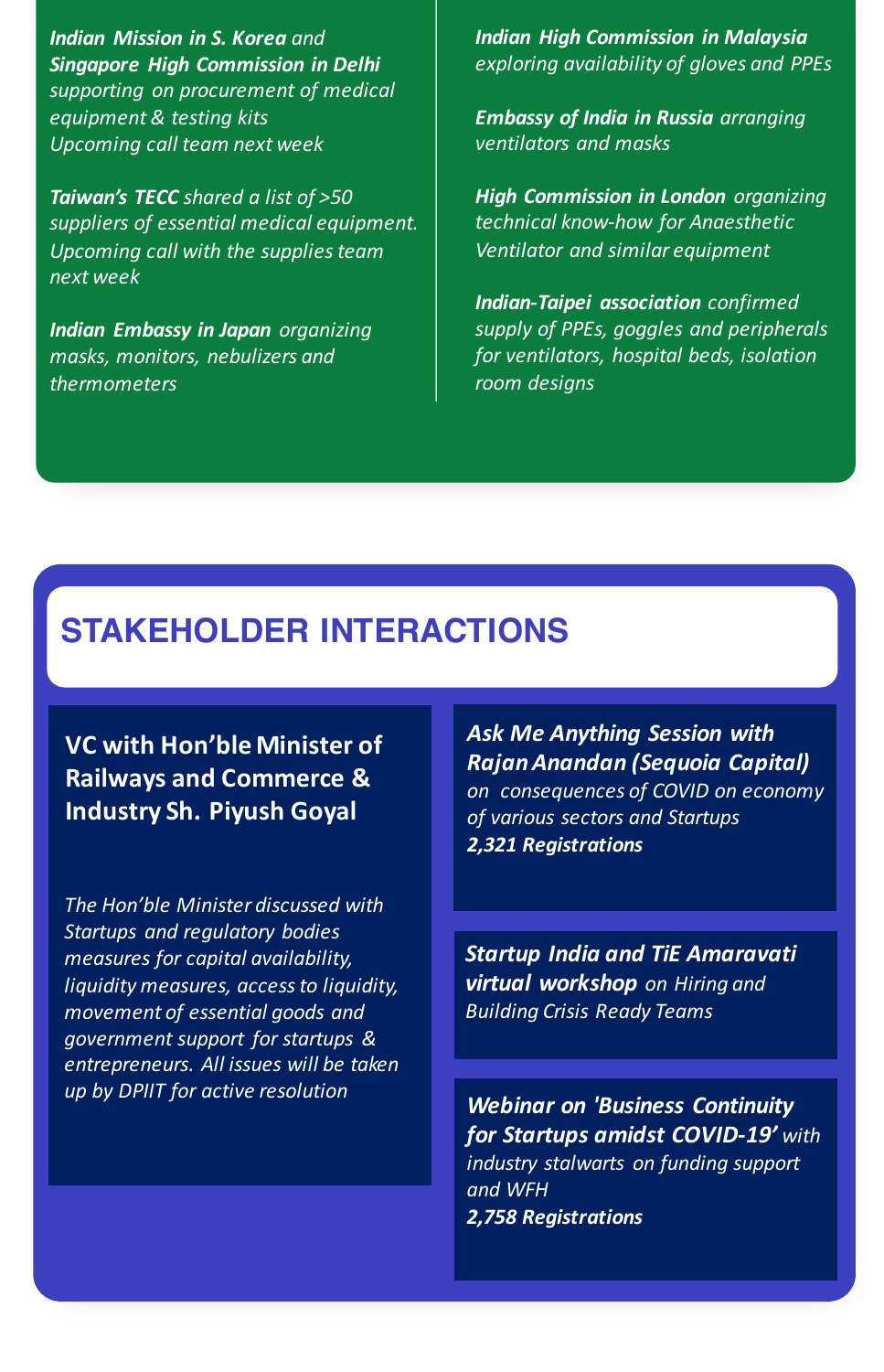**Indian Mission in S. Korea** and *Singapore High Commission in Delhi* supporting on procurement of medical *equipment & testing kits Upcoming call team next week*

**Taiwan's TECC** shared a list of >50 suppliers of essential medical equipment. *Upcoming call with the supplies team next week*

**Indian Embassy in Japan** organizing *masks, monitors, nebulizers and thermometers*

**Indian High Commission in Malaysia** *exploring availability of gloves and PPEs*

*Embassy of India in Russia arranging ventilators and masks*

**High Commission in London** organizing *technical know-how for Anaesthetic Ventilator and similar equipment*

**Indian-Taipei association** confirmed supply of PPEs, goggles and peripherals *for ventilators, hospital beds, isolation room designs*

#### **STAKEHOLDER INTERACTIONS**

**VC** with Hon'ble Minister of **Railways and Commerce & Industry Sh. Piyush Goyal**

The Hon'ble Minister discussed with *Startups and regulatory bodies measures for capital availability, liquidity measures, access to liquidity, movement of essential goods and government support for startups & entrepreneurs. All issues will be taken up by DPIIT for active resolution*

*Ask Me Anything Session with RajanAnandan (Sequoia Capital) on consequences of COVID on economy of various sectors and Startups 2,321 Registrations*

**Startup India and TiE Amaravati virtual workshop** on Hiring and *Building Crisis Ready Teams*

**Webinar on 'Business Continuity for Startups amidst COVID-19'** with *industry stalwarts on funding support and WFH 2,758 Registrations*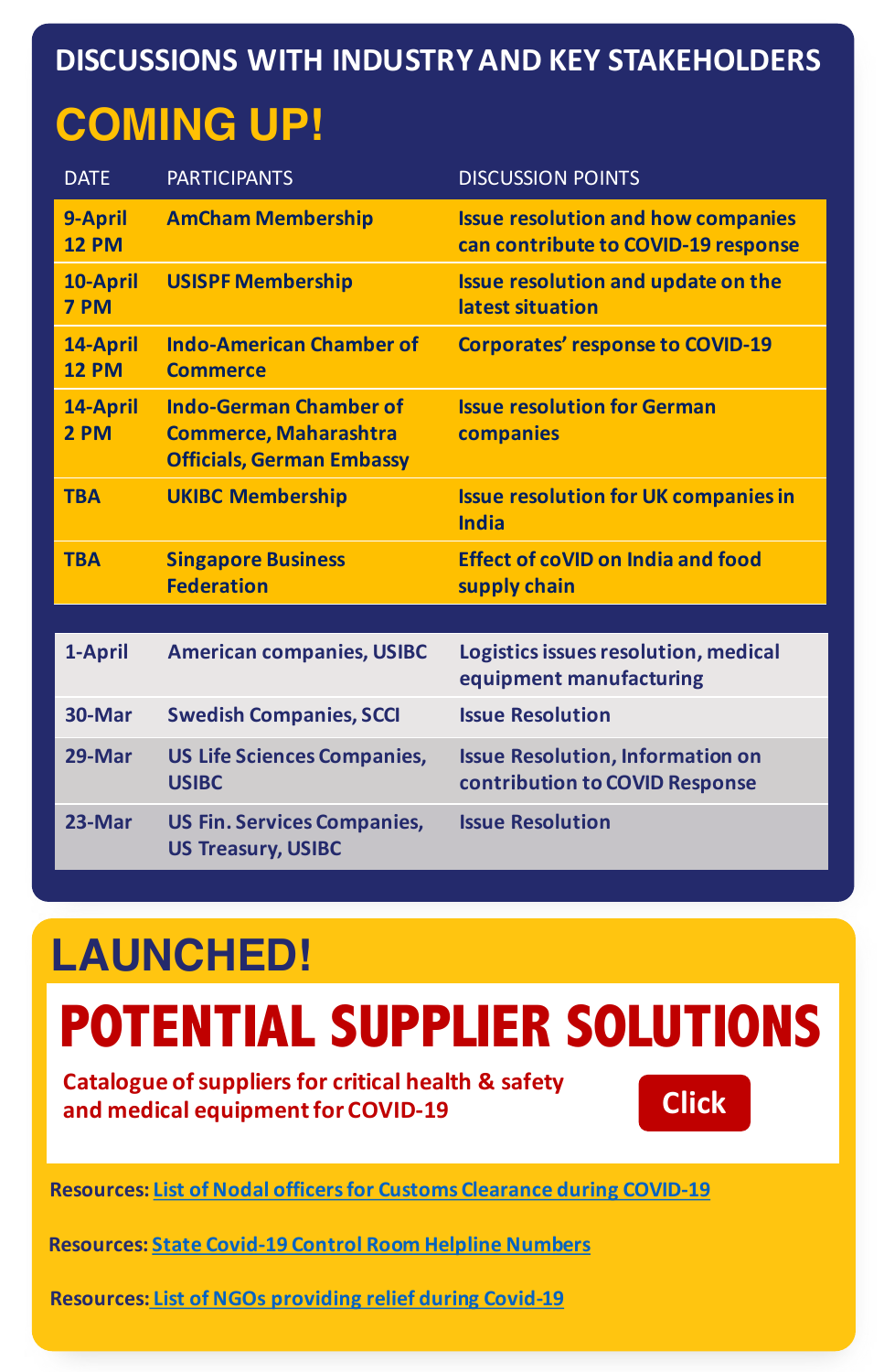#### **DISCUSSIONS WITH INDUSTRY AND KEY STAKEHOLDERS**

# **COMING UP!**

| <b>DATE</b>              | <b>PARTICIPANTS</b>                                                                               | <b>DISCUSSION POINTS</b>                                                         |
|--------------------------|---------------------------------------------------------------------------------------------------|----------------------------------------------------------------------------------|
| 9-April<br><b>12 PM</b>  | <b>AmCham Membership</b>                                                                          | <b>Issue resolution and how companies</b><br>can contribute to COVID-19 response |
| 10-April<br>7 PM         | <b>USISPF Membership</b>                                                                          | <b>Issue resolution and update on the</b><br>latest situation                    |
| 14-April<br><b>12 PM</b> | <b>Indo-American Chamber of</b><br><b>Commerce</b>                                                | <b>Corporates' response to COVID-19</b>                                          |
| 14-April<br>2 PM         | <b>Indo-German Chamber of</b><br><b>Commerce, Maharashtra</b><br><b>Officials, German Embassy</b> | <b>Issue resolution for German</b><br>companies                                  |
| <b>TBA</b>               | <b>UKIBC Membership</b>                                                                           | <b>Issue resolution for UK companies in</b><br><b>India</b>                      |
| <b>TBA</b>               | <b>Singapore Business</b><br><b>Federation</b>                                                    | <b>Effect of coVID on India and food</b><br>supply chain                         |
|                          |                                                                                                   |                                                                                  |
| 1-April                  | <b>American companies, USIBC</b>                                                                  | Logistics issues resolution, medical<br>equipment manufacturing                  |
| 30-Mar                   | <b>Swedish Companies, SCCI</b>                                                                    | <b>Issue Resolution</b>                                                          |
| 29-Mar                   | <b>US Life Sciences Companies,</b><br><b>USIBC</b>                                                | <b>Issue Resolution, Information on</b><br>contribution to COVID Response        |
| 23-Mar                   | <b>US Fin. Services Companies,</b><br><b>US Treasury, USIBC</b>                                   | <b>Issue Resolution</b>                                                          |

# **LAUNCHED!**

# **POTENTIAL SUPPLIER SOLUTIONS**

**Catalogue of suppliers for critical health & safety** and medical equipment for COVID-19



**Resources: List of Nodal officers for Customs Clearance during COVID-19** 

**[Resources: State Covid-19 Control Room Helpline Numbers](https://www.investindia.gov.in/bip/resources/state-and-central-control-rooms)**

**Resources: List of NGOs providing relief during Covid-19**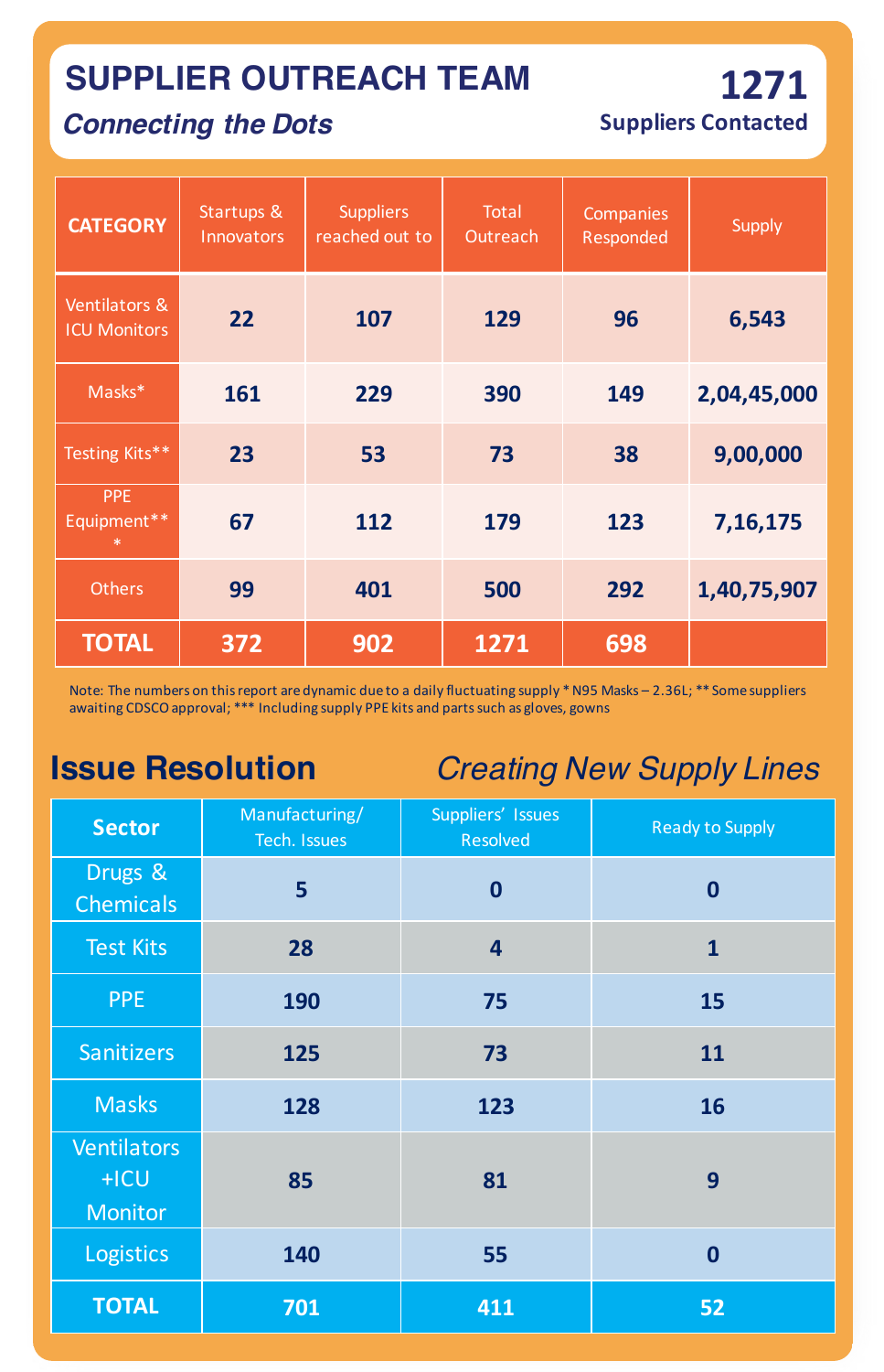### **SUPPLIER OUTREACH TEAM**

#### *Connecting the Dots*

**Suppliers Contacted**

**1271**

| <b>CATEGORY</b>                      | Startups &<br>Innovators | <b>Suppliers</b><br>reached out to | <b>Total</b><br>Outreach | Companies<br>Responded | <b>Supply</b> |
|--------------------------------------|--------------------------|------------------------------------|--------------------------|------------------------|---------------|
| Ventilators &<br><b>ICU Monitors</b> | 22                       | 107                                | 129                      | 96                     | 6,543         |
| Masks*                               | 161                      | 229                                | 390                      | 149                    | 2,04,45,000   |
| Testing Kits**                       | 23                       | 53                                 | 73                       | 38                     | 9,00,000      |
| <b>PPE</b><br>Equipment**<br>$\ast$  | 67                       | 112                                | 179                      | 123                    | 7, 16, 175    |
| <b>Others</b>                        | 99                       | 401                                | 500                      | 292                    | 1,40,75,907   |
| <b>TOTAL</b>                         | 372                      | 902                                | 1271                     | 698                    |               |

Note: The numbers on this report are dynamic due to a daily fluctuating supply \* N95 Masks - 2.36L; \*\* Some suppliers awaiting CDSCO approval; \*\*\* Including supply PPE kits and parts such as gloves, gowns

**Issue Resolution** *Creating New Supply Lines*

| <b>Sector</b>                                  | Manufacturing/<br>Tech. Issues | Suppliers' Issues<br><b>Resolved</b> | <b>Ready to Supply</b> |
|------------------------------------------------|--------------------------------|--------------------------------------|------------------------|
| Drugs &<br><b>Chemicals</b>                    | 5                              | $\boldsymbol{0}$                     | $\boldsymbol{0}$       |
| <b>Test Kits</b>                               | 28                             | $\overline{\mathbf{4}}$              | $\mathbf{1}$           |
| <b>PPE</b>                                     | 190                            | 75                                   | 15                     |
| Sanitizers                                     | 125                            | 73                                   | 11                     |
| <b>Masks</b>                                   | 128                            | 123                                  | 16                     |
| <b>Ventilators</b><br>$+ICU$<br><b>Monitor</b> | 85                             | 81                                   | 9                      |
| Logistics                                      | 140                            | 55                                   | $\boldsymbol{0}$       |
| <b>TOTAL</b>                                   | 701                            | 411                                  | 52                     |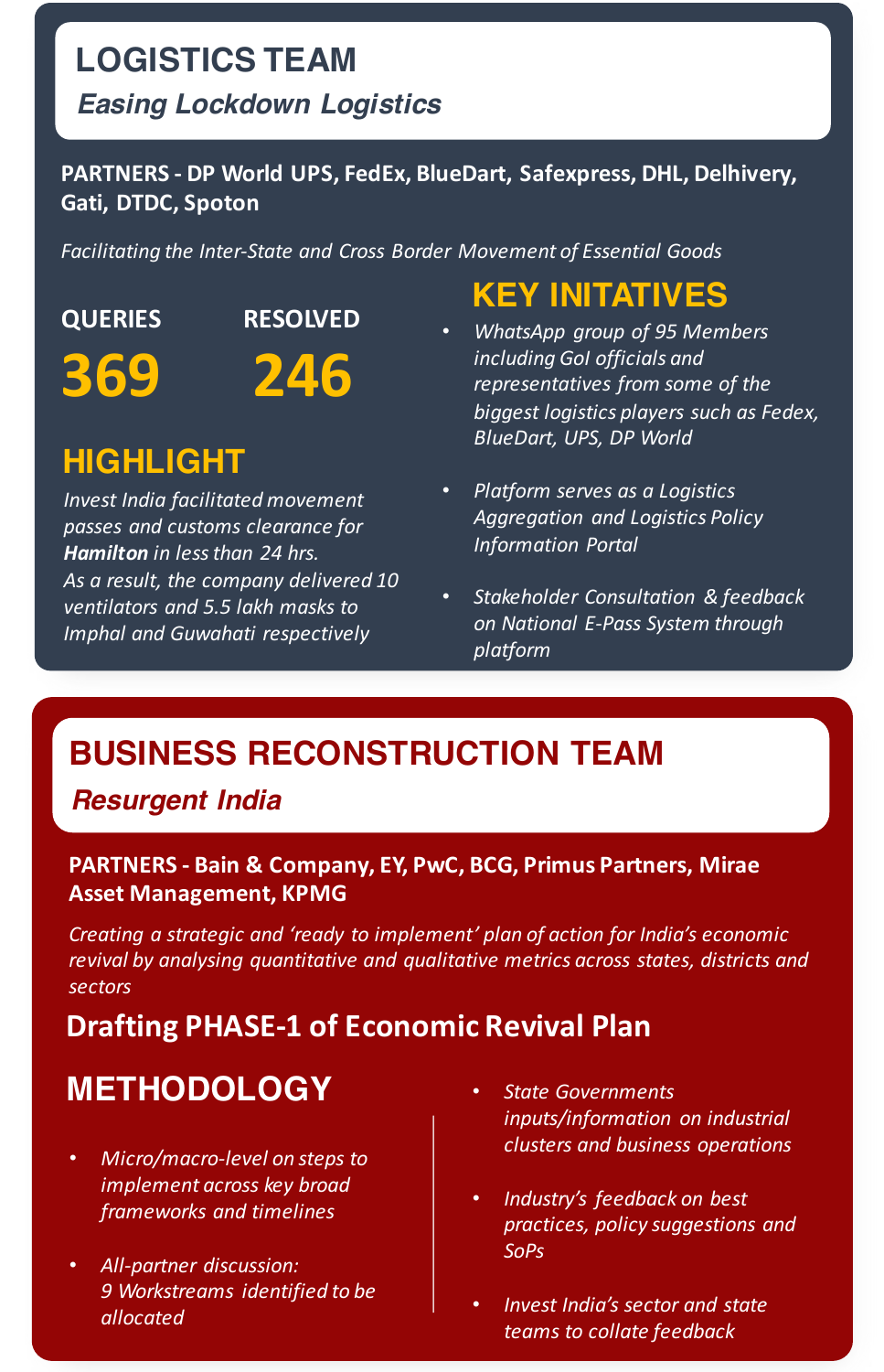### **LOGISTICS TEAM**

#### *Easing Lockdown Logistics*

#### PARTNERS - DP World UPS, FedEx, BlueDart, Safexpress, DHL, Delhivery, **Gati, DTDC, Spoton**

Facilitating the Inter-State and Cross Border Movement of Essential Goods

**QUERIES 369 RESOLVED**

### **HIGHLIGHT**

**Invest India facilitated movement** *passes and customs clearance for*  **Hamilton** in less than 24 hrs. As a result, the company delivered 10 *ventilators and 5.5 lakh masks to Imphal and Guwahati respectively*

## **KEY INITATIVES**

- **246** *WhatsApp group of 95 Members*<br>*including Gol officials and*<br>*representatives from some of the including GoI officials and representatives from some of the* biggest logistics players such as Fedex, **BlueDart, UPS, DP World** 
	- **Platform serves as a Logistics** *Aggregation and Logistics Policy Information Portal*
	- *Stakeholder Consultation & feedback on National E-Pass System through platform*

### **BUSINESS RECONSTRUCTION TEAM**

*Resurgent India*

#### **PARTNERS - Bain & Company, EY, PwC, BCG, Primus Partners, Mirae Asset Management, KPMG**

*Creating a strategic and 'ready to implement' plan of action for India's economic* revival by analysing quantitative and qualitative metrics across states, districts and *sectors*

#### **Drafting PHASE-1 of Economic Revival Plan**

### **METHODOLOGY** • *State Governments*

- **Micro/macro-level on steps to** *implement across key broad frameworks and timelines*
- *All-partner discussion: 9 Workstreams identified to be allocated*
- *inputs/information on industrial clusters and business operations*
- Industry's feedback on best *practices, policy suggestions and SoPs*
- *Invest India's sector and state teams to collate feedback*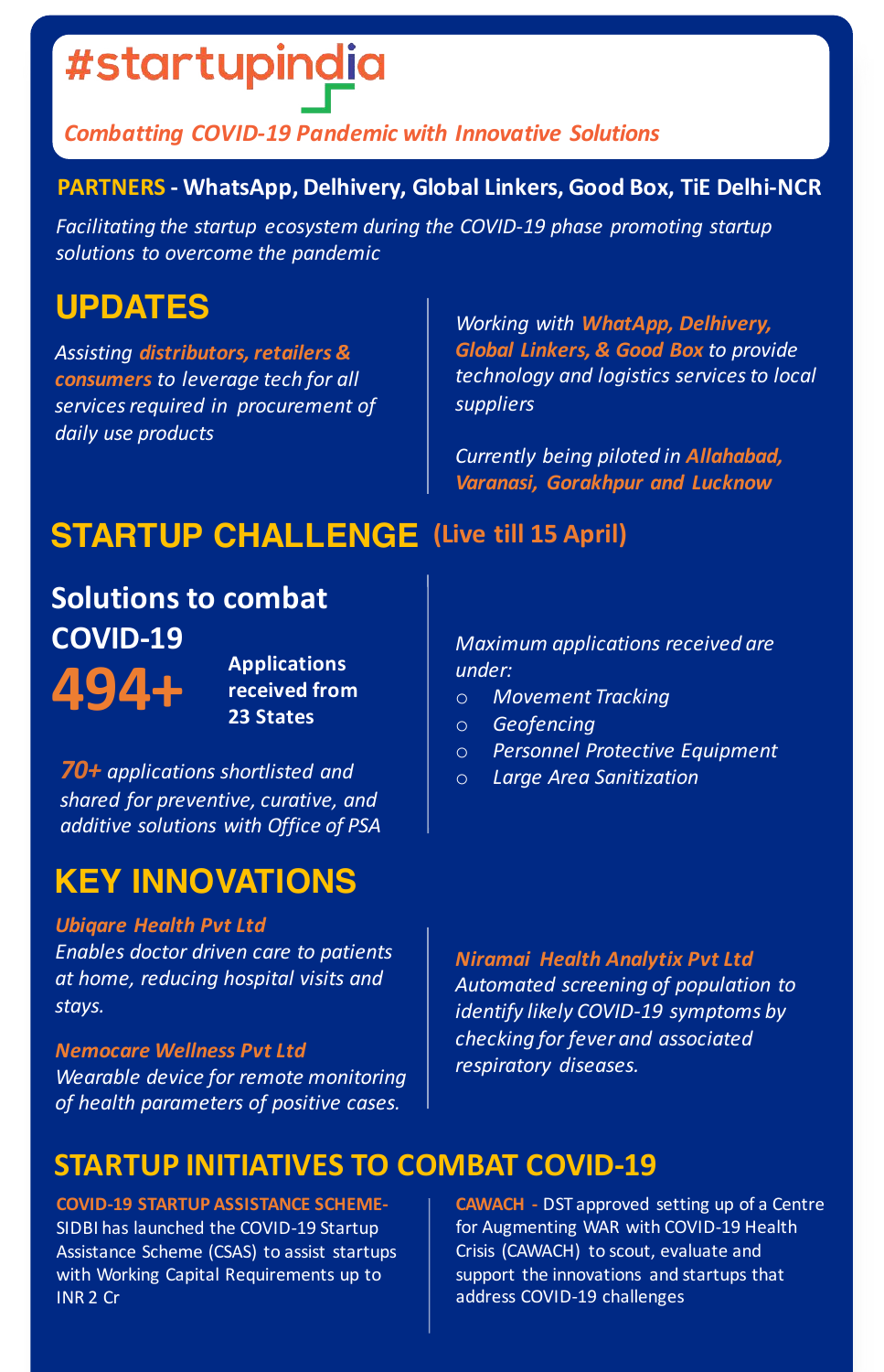# #startupindia

#### *Combatting COVID-19 Pandemic with Innovative Solutions*

#### **PARTNERS - WhatsApp, Delhivery, Global Linkers, Good Box, TiE Delhi-NCR**

Facilitating the startup ecosystem during the COVID-19 phase promoting startup *solutions to overcome the pandemic*

#### **UPDATES**

*Assisting distributors, retailers & consumers* to leverage tech for all services required in procurement of *daily use products*

*Working with WhatApp, Delhivery,* **Global Linkers, & Good Box to provide** *technology and logistics services to local suppliers*

*Currently being piloted in Allahabad,* **Varanasi, Gorakhpur and Lucknow** 

### **STARTUP CHALLENGE** (Live till 15 April)

Applications<br>**494+ Received from 23 States Solutions to combat COVID-19**

**received** from

70+ *applications* shortlisted and shared for preventive, curative, and *additive solutions with Office of PSA*

### **KEY INNOVATIONS**

#### *Ubiqare Health Pvt Ltd*

*Enables doctor driven care to patients at home, reducing hospital visits and stays.*

#### *Nemocare Wellness Pvt Ltd*

*Wearable device for remote monitoring of health parameters of positive cases.*

#### **STARTUP INITIATIVES TO COMBAT COVID-19**

**COVID-19 STARTUP ASSISTANCE SCHEME-**SIDBI has launched the COVID-19 Startup Assistance Scheme (CSAS) to assist startups with Working Capital Requirements up to INR 2 Cr

**Maximum** applications received are *under:*

- o *Movement Tracking*
- o *Geofencing*
- o *Personnel Protective Equipment*
- o *Large Area Sanitization*

*Niramai Health Analytix Pvt Ltd Automated screening of population to*  identify likely COVID-19 symptoms by *checking for fever and associated respiratory diseases.*

**CAWACH** - DST approved setting up of a Centre for Augmenting WAR with COVID-19 Health Crisis (CAWACH) to scout, evaluate and support the innovations and startups that address COVID-19 challenges